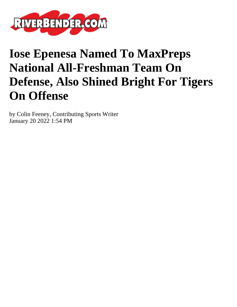

## **Iose Epenesa Named To MaxPreps National All-Freshman Team On Defense, Also Shined Bright For Tigers On Offense**

by Colin Feeney, Contributing Sports Writer January 20 2022 1:54 PM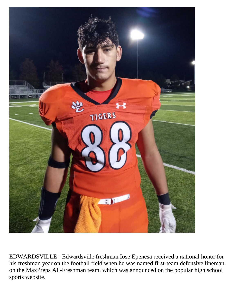

EDWARDSVILLE - Edwardsville freshman Iose Epenesa received a national honor for his freshman year on the football field when he was named first-team defensive lineman on the MaxPreps All-Freshman team, which was announced on the popular high school sports website.